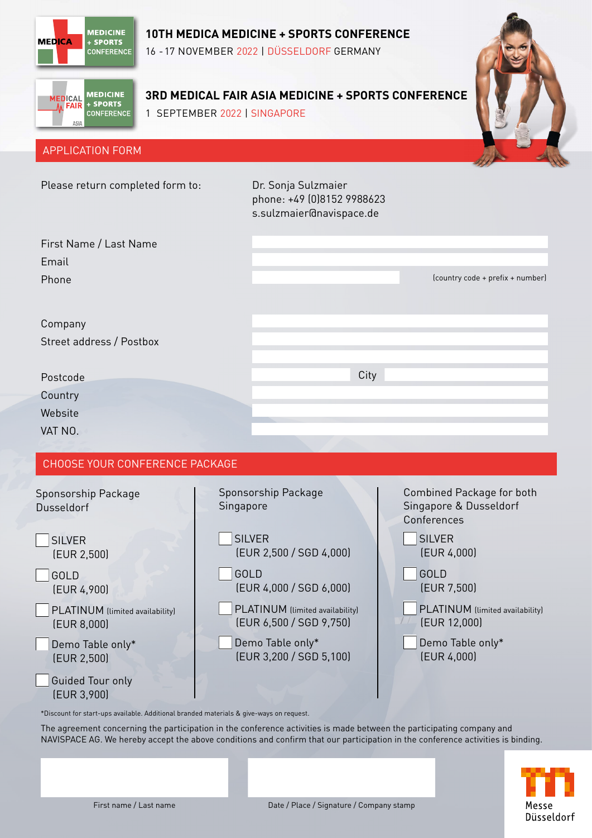

### **10TH MEDICA MEDICINE + SPORTS CONFERENCE**

16 -17 NOVEMBER 2022 | DÜSSELDORF GERMANY



# **3RD MEDICAL FAIR ASIA MEDICINE + SPORTS CONFERENCE**

1 SEPTEMBER 2022 | SINGAPORE



#### APPLICATION FORM

| Please return completed form to:                                                                                                                                              | Dr. Sonja Sulzmaier<br>s.sulzmaier@navispace.de                                                                                                                                                                              | phone: +49 (0)8152 9988623                                                                                                                                                                                      |  |  |
|-------------------------------------------------------------------------------------------------------------------------------------------------------------------------------|------------------------------------------------------------------------------------------------------------------------------------------------------------------------------------------------------------------------------|-----------------------------------------------------------------------------------------------------------------------------------------------------------------------------------------------------------------|--|--|
| First Name / Last Name<br>Email<br>Phone                                                                                                                                      |                                                                                                                                                                                                                              | (country code + prefix + number)                                                                                                                                                                                |  |  |
| Company<br>Street address / Postbox<br>Postcode<br>Country<br>Website<br>VAT NO.                                                                                              | City                                                                                                                                                                                                                         |                                                                                                                                                                                                                 |  |  |
| CHOOSE YOUR CONFERENCE PACKAGE                                                                                                                                                |                                                                                                                                                                                                                              |                                                                                                                                                                                                                 |  |  |
| Sponsorship Package<br>Dusseldorf<br><b>SILVER</b><br>(EUR 2,500)<br>GOLD<br>(EUR 4,900)<br>PLATINUM (limited availability)<br>[EUR 8,000]<br>Demo Table only*<br>(EUR 2,500) | Sponsorship Package<br>Singapore<br><b>SILVER</b><br>(EUR 2,500 / SGD 4,000)<br>GOLD<br>(EUR 4,000 / SGD 6,000)<br>PLATINUM (limited availability)<br>(EUR 6,500 / SGD 9,750)<br>Demo Table only*<br>(EUR 3,200 / SGD 5,100) | Combined Package for both<br>Singapore & Dusseldorf<br>Conferences<br><b>SILVER</b><br>[EUR 4,000]<br>GOLD<br>(EUR 7,500)<br>PLATINUM (limited availability)<br>(EUR 12,000)<br>Demo Table only*<br>[EUR 4,000] |  |  |
| <b>Guided Tour only</b><br>(EUR 3,900)                                                                                                                                        |                                                                                                                                                                                                                              |                                                                                                                                                                                                                 |  |  |

\*Discount for start-ups available. Additional branded materials & give-ways on request.

The agreement concerning the participation in the conference activities is made between the participating company and NAVISPACE AG. We hereby accept the above conditions and confirm that our participation in the conference activities is binding.